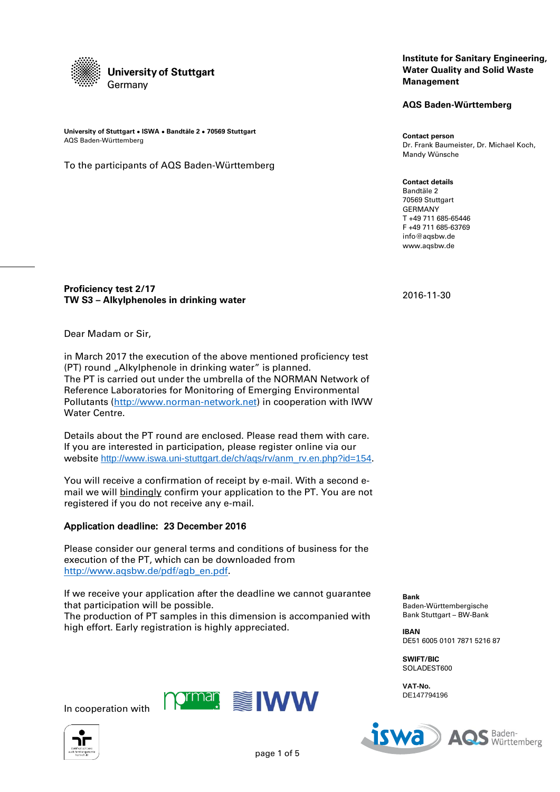

**University of Stuttgart ● ISWA ● Bandtäle 2 ● 70569 Stuttgart** AQS Baden-Württemberg

To the participants of AQS Baden-Württemberg

## **Institute for Sanitary Engineering, Water Quality and Solid Waste Management**

**AQS Baden-Württemberg**

**Contact person** Dr. Frank Baumeister, Dr. Michael Koch, Mandy Wünsche

**Contact details** Bandtäle 2 70569 Stuttgart GERMANY T +49 711 685-65446 F +49 711 685-63769 info@aqsbw.de www.aqsbw.de

# **Proficiency test 2/17 TW S3 – Alkylphenoles in drinking water**

Dear Madam or Sir,

in March 2017 the execution of the above mentioned proficiency test (PT) round "Alkylphenole in drinking water" is planned. The PT is carried out under the umbrella of the NORMAN Network of Reference Laboratories for Monitoring of Emerging Environmental Pollutants [\(http://www.norman-network.net\)](http://www.norman-network.net/) in cooperation with IWW Water Centre.

Details about the PT round are enclosed. Please read them with care. If you are interested in participation, please register online via our website [http://www.iswa.uni-stuttgart.de/ch/aqs/rv/anm\\_rv.en.php?id=154](http://www.iswa.uni-stuttgart.de/ch/aqs/rv/anm_rv.en.php?id=154).

You will receive a confirmation of receipt by e-mail. With a second email we will bindingly confirm your application to the PT. You are not registered if you do not receive any e-mail.

# Application deadline: 23 December 2016

Please consider our general terms and conditions of business for the execution of the PT, which can be downloaded from [http://www.aqsbw.de/pdf/agb\\_en.pdf.](http://www.aqsbw.de/pdf/agb_en.pdf)

If we receive your application after the deadline we cannot guarantee that participation will be possible.

The production of PT samples in this dimension is accompanied with high effort. Early registration is highly appreciated.

Bank Stuttgart – BW-Bank **IBAN** DE51 6005 0101 7871 5216 87

Baden-Württembergische

**SWIFT/BIC** SOLADEST600

**Bank**

**VAT-No.** DE147794196





**iswa** Baden-Württemberg

2016-11-30

page 1 of 5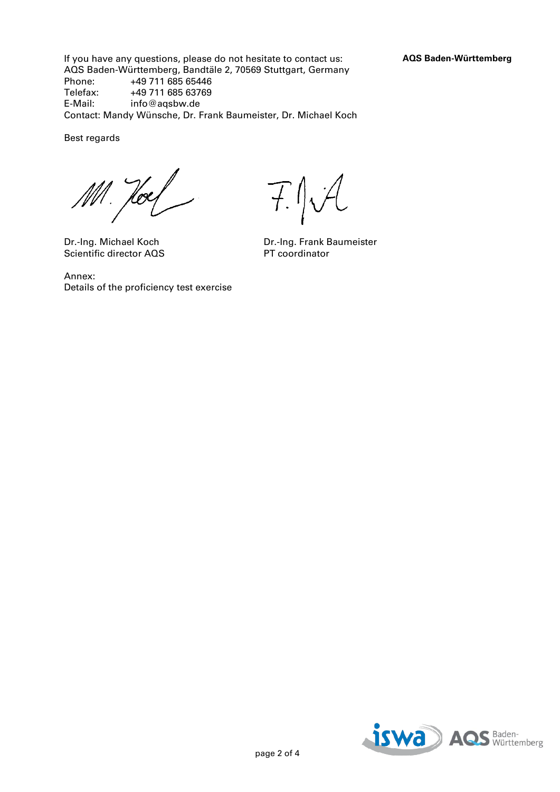If you have any questions, please do not hesitate to contact us: **AQS Baden-Württemberg** AQS Baden-Württemberg, Bandtäle 2, 70569 Stuttgart, Germany<br>Phone: +49 711 685 65446 +49 711 685 65446 Telefax: +49 711 685 63769<br>E-Mail: info@agsbw.de info@aqsbw.de Contact: Mandy Wünsche, Dr. Frank Baumeister, Dr. Michael Koch

Best regards

Hoes

Scientific director AQS

Annex: Details of the proficiency test exercise

F.J.A

Dr.-Ing. Michael Koch Dr.-Ing. Frank Baumeister<br>Scientific director AQS PT coordinator

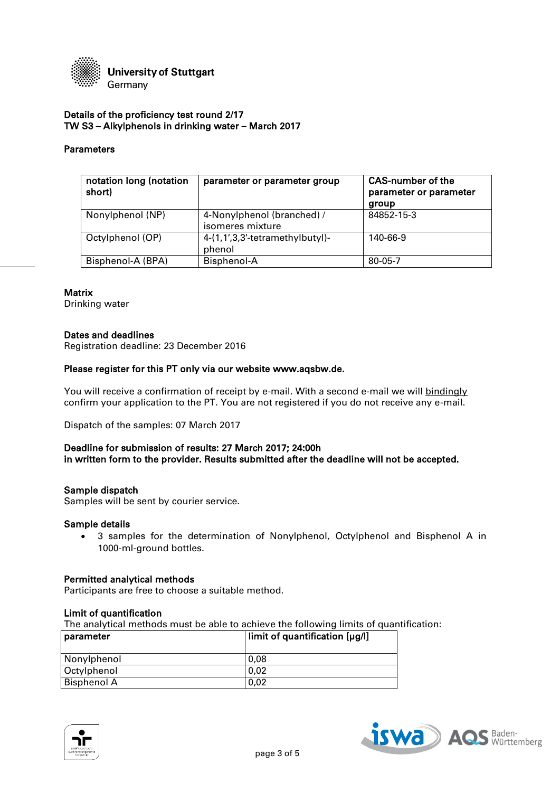

## Details of the proficiency test round 2/17 TW S3 – Alkylphenols in drinking water – March 2017

## Parameters

| notation long (notation<br>short) | parameter or parameter group                   | <b>CAS-number of the</b><br>parameter or parameter<br>group |
|-----------------------------------|------------------------------------------------|-------------------------------------------------------------|
| Nonylphenol (NP)                  | 4-Nonylphenol (branched) /<br>isomeres mixture | 84852-15-3                                                  |
| Octylphenol (OP)                  | 4-(1,1',3,3'-tetramethylbutyl)-<br>phenol      | 140-66-9                                                    |
| Bisphenol-A (BPA)                 | Bisphenol-A                                    | 80-05-7                                                     |

#### **Matrix**

Drinking water

#### Dates and deadlines

Registration deadline: 23 December 2016

# Please register for this PT only via our website www.aqsbw.de.

You will receive a confirmation of receipt by e-mail. With a second e-mail we will bindingly confirm your application to the PT. You are not registered if you do not receive any e-mail.

Dispatch of the samples: 07 March 2017

## Deadline for submission of results: 27 March 2017; 24:00h in written form to the provider. Results submitted after the deadline will not be accepted.

#### Sample dispatch

Samples will be sent by courier service.

#### Sample details

 3 samples for the determination of Nonylphenol, Octylphenol and Bisphenol A in 1000-ml-ground bottles.

#### Permitted analytical methods

Participants are free to choose a suitable method.

# Limit of quantification

The analytical methods must be able to achieve the following limits of quantification:

| parameter          | limit of quantification [µg/l] |
|--------------------|--------------------------------|
| Nonylphenol        | 0.08                           |
| Octylphenol        | 0.02                           |
| <b>Bisphenol A</b> | 0.02                           |